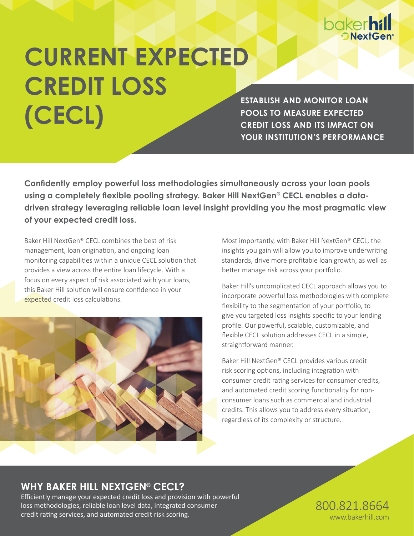

# **CURRENT EXPECTED CREDIT LOSS (CECL)**

**ESTABLISH AND MONITOR LOAN POOLS TO MEASURE EXPECTED CREDIT LOSS AND ITS IMPACT ON YOUR INSTITUTION'S PERFORMANCE** 

**Confidently employ powerful loss methodologies simultaneously across your loan pools using a completely flexible pooling strategy. Baker Hill NextGen® CECL enables a datadriven strategy leveraging reliable loan level insight providing you the most pragmatic view of your expected credit loss.**

Baker Hill NextGen® CECL combines the best of risk management, loan origination, and ongoing loan monitoring capabilities within a unique CECL solution that provides a view across the entire loan lifecycle. With a focus on every aspect of risk associated with your loans, this Baker Hill solution will ensure confidence in your expected credit loss calculations.



Most importantly, with Baker Hill NextGen® CECL, the insights you gain will allow you to improve underwriting standards, drive more profitable loan growth, as well as better manage risk across your portfolio.

Baker Hill's uncomplicated CECL approach allows you to incorporate powerful loss methodologies with complete flexibility to the segmentation of your portfolio, to give you targeted loss insights specific to your lending profile. Our powerful, scalable, customizable, and flexible CECL solution addresses CECL in a simple, straightforward manner.

Baker Hill NextGen® CECL provides various credit risk scoring options, including integration with consumer credit rating services for consumer credits, and automated credit scoring functionality for nonconsumer loans such as commercial and industrial credits. This allows you to address every situation, regardless of its complexity or structure.

## **WHY BAKER HILL NEXTGEN® CECL?**

Efficiently manage your expected credit loss and provision with powerful loss methodologies, reliable loan level data, integrated consumer credit rating services, and automated credit risk scoring.

800.821.8664 www.bakerhill.com